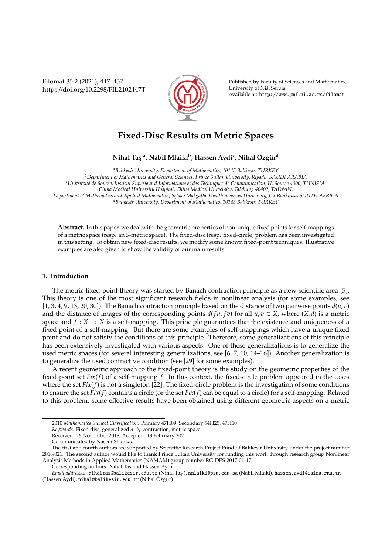Filomat 35:2 (2021), 447–457 https://doi.org/10.2298/FIL2102447T



Published by Faculty of Sciences and Mathematics, University of Niš, Serbia Available at: http://www.pmf.ni.ac.rs/filomat

# **Fixed-Disc Results on Metric Spaces**

## $\mathbf{N}$ ihal Taş <sup>a</sup>, Nabil Mlaiki<sup>b</sup>, Hassen Aydi<sup>c</sup>, Nihal Özgür<sup>d</sup>

*<sup>a</sup>Balıkesir University, Department of Mathematics, 10145 Balıkesir, TURKEY <sup>b</sup>Department of Mathematics and General Sciences, Prince Sultan University, Riyadh, SAUDI ARABIA <sup>c</sup>Universit´e de Sousse, Institut Sup´erieur d'Informatique et des Techniques de Communication, H. Sousse 4000, TUNISIA. China Medical University Hospital, China Medical University, Taichung 40402, TAIWAN. Department of Mathematics and Applied Mathematics, Sefako Makgatho Health Sciences University, Ga-Rankuwa, SOUTH AFRICA <sup>d</sup>Balıkesir University, Department of Mathematics, 10145 Balıkesir, TURKEY*

**Abstract.** In this paper, we deal with the geometric properties of non-unique fixed points for self-mappings of a metric space (resp. an *S*-metric space). The fixed-disc (resp. fixed-circle) problem has been investigated in this setting. To obtain new fixed-disc results, we modify some known fixed-point techniques. Illustrative examples are also given to show the validity of our main results.

## **1. Introduction**

The metric fixed-point theory was started by Banach contraction principle as a new scientific area [5]. This theory is one of the most significant research fields in nonlinear analysis (for some examples, see [1, 3, 4, 9, 13, 20, 30]). The Banach contraction principle based on the distance of two pairwise points  $d(u, v)$ and the distance of images of the corresponding points  $d(fu, fv)$  for all  $u, v \in X$ , where  $(X, d)$  is a metric space and  $f: X \to X$  is a self-mapping. This principle guarantees that the existence and uniqueness of a fixed point of a self-mapping. But there are some examples of self-mappings which have a unique fixed point and do not satisfy the conditions of this principle. Therefore, some generalizations of this principle has been extensively investigated with various aspects. One of these generalizations is to generalize the used metric spaces (for several interesting generalizations, see [6, 7, 10, 14–16]). Another generalization is to generalize the used contractive condition (see [29] for some examples).

A recent geometric approach to the fixed-point theory is the study on the geometric properties of the fixed-point set *Fix*(*f*) of a self-mapping *f*. In this context, the fixed-circle problem appeared in the cases where the set  $Fix(f)$  is not a singleton [22]. The fixed-circle problem is the investigation of some conditions to ensure the set *Fix*(*f*) contains a circle (or the set *Fix*(*f*) can be equal to a circle) for a self-mapping. Related to this problem, some effective results have been obtained using different geometric aspects on a metric

<sup>2010</sup> *Mathematics Subject Classification*. Primary 47H09; Secondary 54H25, 47H10

*Keywords*. Fixed disc, generalized α-ψ*c*-contraction, metric space

Received: 26 November 2018; Accepted: 18 February 2021

Communicated by Naseer Shahzad

The first and fourth authors are supported by Scientific Research Project Fund of Balıkesir University under the project number 2018/021. The second author would like to thank Prince Sultan University for funding this work through research group Nonlinear Analysis Methods in Applied Mathematics (NAMAM) group number RG-DES-2017-01-17.

Corresponding authors: Nihal Tas¸ and Hassen Aydi

*Email addresses:* nihaltas@balikesir.edu.tr (Nihal Tas¸ ), nmlaiki@psu.edu.sa (Nabil Mlaiki), hassen.aydi@isima.rnu.tn (Hassen Aydi), nihal@balikesir.edu.tr (Nihal Özgür)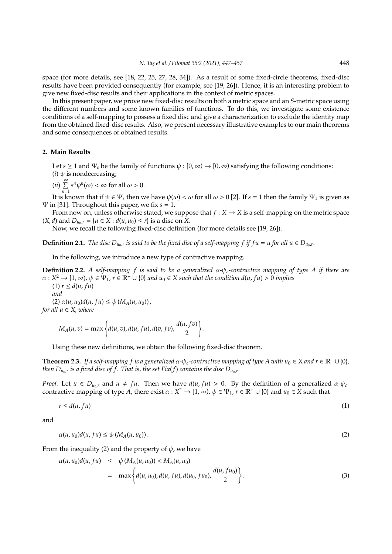space (for more details, see [18, 22, 25, 27, 28, 34]). As a result of some fixed-circle theorems, fixed-disc results have been provided consequently (for example, see [19, 26]). Hence, it is an interesting problem to give new fixed-disc results and their applications in the context of metric spaces.

In this present paper, we prove new fixed-disc results on both a metric space and an *S*-metric space using the different numbers and some known families of functions. To do this, we investigate some existence conditions of a self-mapping to possess a fixed disc and give a characterization to exclude the identity map from the obtained fixed-disc results. Also, we present necessary illustrative examples to our main theorems and some consequences of obtained results.

## **2. Main Results**

Let  $s \ge 1$  and  $\Psi_s$  be the family of functions  $\psi : [0, \infty) \to [0, \infty)$  satisfying the following conditions: (*i*)  $\psi$  is nondecreasing;

 $(i)$ <sup>∞</sup><br>(*ii*)  $\sum$  $\sum_{n=1}^{\infty} s^n \psi^n(\omega) < \infty$  for all  $\omega > 0$ .

It is known that if  $\psi \in \Psi_s$  then we have  $\psi(\omega) < \omega$  for all  $\omega > 0$  [2]. If  $s = 1$  then the family  $\Psi_1$  is given as Ψ in [31]. Throughout this paper, we fix *s* = 1.

From now on, unless otherwise stated, we suppose that  $f : X \to X$  is a self-mapping on the metric space  $(X, d)$  and  $D_{u_0,r} = \{u \in X : d(u, u_0) \leq r\}$  is a disc on X.

Now, we recall the following fixed-disc definition (for more details see [19, 26]).

**Definition 2.1.** *The disc*  $D_{u_0,r}$  *is said to be the fixed disc of a self-mapping f if f u* = *u for all*  $u \in D_{u_0,r}$ .

In the following, we introduce a new type of contractive mapping.

**Definition 2.2.** *A self-mapping f is said to be a generalized* α*-*ψ*c-contractive mapping of type A if there are*  $\alpha: X^2 \to [1, \infty)$ ,  $\psi \in \Psi_1$ ,  $r \in \mathbb{R}^+ \cup \{0\}$  and  $u_0 \in X$  such that the condition  $d(u, fu) > 0$  implies

 $(1)$   $r \leq d(u, fu)$ *and*  $(2) \alpha(u, u_0) d(u, fu) \leq \psi(M_A(u, u_0))$ *for all*  $u \in X$ *, where* 

$$
M_A(u,v) = \max\left\{d(u,v), d(u,fu), d(v,fv), \frac{d(u,fv)}{2}\right\}
$$

Using these new definitions, we obtain the following fixed-disc theorem.

**Theorem 2.3.** *If a self-mapping f is a generalized*  $\alpha$ - $\psi_c$ -contractive mapping of type A with  $u_0 \in X$  and  $r \in \mathbb{R}^+ \cup \{0\}$ *, then*  $D_{u_0,r}$  *is a fixed disc of f . That is, the set Fix(f) contains the disc*  $D_{u_0,r}.$ 

*.*

*Proof.* Let  $u \in D_{u_0,r}$  and  $u \neq fu$ . Then we have  $d(u, fu) > 0$ . By the definition of a generalized  $\alpha$ - $\psi_c$ contractive mapping of type A, there exist  $\alpha: X^2 \to [1,\infty)$ ,  $\psi \in \Psi_1$ ,  $r \in \mathbb{R}^+ \cup \{0\}$  and  $u_0 \in X$  such that

$$
r \leq d(u, fu) \tag{1}
$$

and

$$
\alpha(u, u_0)d(u, fu) \le \psi(M_A(u, u_0)).
$$
\n<sup>(2)</sup>

From the inequality (2) and the property of  $\psi$ , we have

$$
\alpha(u, u_0)d(u, fu) \leq \psi(M_A(u, u_0)) < M_A(u, u_0)
$$
  
=  $\max \left\{ d(u, u_0), d(u, fu), d(u_0, fu_0), \frac{d(u, fu_0)}{2} \right\}.$  (3)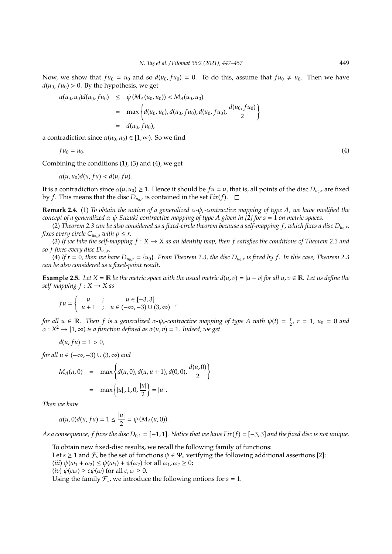Now, we show that  $fu_0 = u_0$  and so  $d(u_0, fu_0) = 0$ . To do this, assume that  $fu_0 \neq u_0$ . Then we have  $d(u_0, fu_0) > 0$ . By the hypothesis, we get

$$
\alpha(u_0, u_0) d(u_0, fu_0) \leq \psi(M_A(u_0, u_0)) < M_A(u_0, u_0)
$$
  
= 
$$
\max \left\{ d(u_0, u_0), d(u_0, fu_0), d(u_0, fu_0), \frac{d(u_0, fu_0)}{2} \right\}
$$
  
= 
$$
d(u_0, fu_0),
$$

a contradiction since  $\alpha(u_0, u_0) \in [1, \infty)$ . So we find

$$
fu_0 = u_0.\tag{4}
$$

Combining the conditions (1), (3) and (4), we get

$$
\alpha(u, u_0)d(u, fu) < d(u, fu).
$$

It is a contradiction since  $\alpha(u, u_0) \geq 1$ . Hence it should be  $fu = u$ , that is, all points of the disc  $D_{u_0,r}$  are fixed by *f*. This means that the disc  $D_{u_0,r}$  is contained in the set  $Fix(f)$ .

**Remark 2.4.** (1) *To obtain the notion of a generalized* α*-*ψ*c-contractive mapping of type A, we have modified the concept of a generalized* α*-*ψ*-Suzuki-contractive mapping of type A given in [2] for s* = 1 *on metric spaces.*

(2) Theorem 2.3 can be also considered as a fixed-circle theorem because a self-mapping f , which fixes a disc  $D_{u_0,r}$ , *fixes every circle*  $C_{u_0,\rho}$  *with*  $\rho \leq r$ .

(3) If we take the self-mapping  $f: X \to X$  as an identity map, then f satisfies the conditions of Theorem 2.3 and *so f fixes every disc Du*0,*<sup>r</sup> .*

(4) If  $r = 0$ , then we have  $D_{u_0,r} = \{u_0\}$ . From Theorem 2.3, the disc  $D_{u_0,r}$  is fixed by f. In this case, Theorem 2.3 *can be also considered as a fixed-point result.*

**Example 2.5.** Let  $X = \mathbb{R}$  be the metric space with the usual metric  $d(u, v) = |u - v|$  for all  $u, v \in \mathbb{R}$ . Let us define the *self-mapping*  $f: X \rightarrow X$  *as* 

$$
fu = \begin{cases} u & ; & u \in [-3,3] \\ u+1 & ; & u \in (-\infty,-3) \cup (3,\infty) \end{cases}
$$

*for all*  $u \in \mathbb{R}$ . Then *f* is a generalized  $\alpha$ - $\psi_c$ -contractive mapping of type A with  $\psi(t) = \frac{t}{2}$ ,  $r = 1$ ,  $u_0 = 0$  and  $\alpha: X^2 \to [1, \infty)$  *is a function defined as*  $\alpha(u, v) = 1$ *. Indeed, we get* 

$$
d(u, fu) = 1 > 0,
$$

*for all u* ∈ (–∞, –3)  $\cup$  (3, ∞) *and* 

$$
M_A(u,0) = \max \left\{ d(u,0), d(u,u+1), d(0,0), \frac{d(u,0)}{2} \right\}
$$
  
= 
$$
\max \left\{ |u|, 1, 0, \frac{|u|}{2} \right\} = |u|.
$$

*Then we have*

$$
\alpha(u,0)d(u,fu)=1\leq \frac{|u|}{2}=\psi\left(M_A(u,0)\right).
$$

*As a consequence, f fixes the disc D*0,<sup>1</sup> = [−1, 1]*. Notice that we have Fix*(*f*) = [−3, 3] *and the fixed disc is not unique.*

To obtain new fixed-disc results, we recall the following family of functions:

Let  $s \ge 1$  and  $\mathcal{F}_s$  be the set of functions  $\psi \in \Psi_s$  verifying the following additional assertions [2]:

(*iii*)  $\psi(\omega_1 + \omega_2) \leq \psi(\omega_1) + \psi(\omega_2)$  for all  $\omega_1, \omega_2 \geq 0$ ;

 $(iv) \psi(c\omega) \geq c\psi(\omega)$  for all  $c, \omega \geq 0$ .

Using the family  $\mathcal{F}_1$ , we introduce the following notions for  $s = 1$ .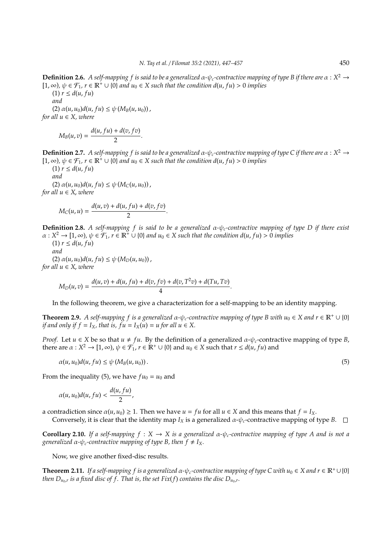**Definition 2.6.** A self-mapping f is said to be a generalized  $\alpha$ - $\psi_c$ -contractive mapping of type B if there are  $\alpha$  :  $X^2 \to$  $[1, ∞)$ ,  $\psi \in \mathcal{F}_1$ ,  $r \in \mathbb{R}^+ \cup \{0\}$  *and*  $u_0 \in X$  *such that the condition d*(*u*, *fu*) > 0 *implies* 

 $(1)$   $r \leq d(u, fu)$ *and*  $(2) \alpha(u, u_0) d(u, fu) \leq \psi(M_B(u, u_0))$ , *for all u* ∈ *X, where*

$$
M_B(u,v)=\frac{d(u,fu)+d(v,fv)}{2}.
$$

**Definition 2.7.** A self-mapping f is said to be a generalized  $\alpha$ - $\psi_c$ -contractive mapping of type C if there are  $\alpha$  :  $X^2 \to$  $[1, ∞)$ ,  $\psi \in \mathcal{F}_1$ ,  $r \in \mathbb{R}^+ \cup \{0\}$  *and*  $u_0 \in X$  *such that the condition*  $d(u, fu) > 0$  *implies* 

 $(1)$   $r \leq d(u, fu)$ *and*  $(2) \alpha(u, u_0) d(u, fu) \leq \psi(M_C(u, u_0))$ *for all*  $u \in X$ *, where* 

$$
M_C(u, u) = \frac{d(u, v) + d(u, fu) + d(v, fv)}{2}.
$$

**Definition 2.8.** *A self-mapping f is said to be a generalized* α*-*ψ*c-contractive mapping of type D if there exist*  $\alpha: X^2 \to [1, \infty)$ ,  $\psi \in \mathcal{F}_1$ ,  $r \in \mathbb{R}^+ \cup \{0\}$  and  $u_0 \in X$  such that the condition  $d(u, fu) > 0$  implies

 $(1)$   $r \leq d(u, fu)$ *and*  $(2) \alpha(u, u_0) d(u, fu) \leq \psi(M_D(u, u_0))$ , *for all*  $u \in X$ *, where* 

$$
M_D(u,v) = \frac{d(u,v) + d(u, fu) + d(v, fv) + d(v, T^2v) + d(Tu, Tv)}{4}.
$$

In the following theorem, we give a characterization for a self-mapping to be an identity mapping.

**Theorem 2.9.** *A self-mapping f is a generalized*  $\alpha$ - $\psi_c$ -contractive mapping of type B with  $u_0 \in X$  and  $r \in \mathbb{R}^+ \cup \{0\}$ *if and only if f* =  $I_X$ *, that is, f*  $u = I_X(u) = u$  *for all*  $u \in X$ *.* 

*Proof.* Let  $u \in X$  be so that  $u \neq fu$ . By the definition of a generalized  $\alpha$ - $\psi_c$ -contractive mapping of type *B*, there are  $\alpha: X^2 \to [1, \infty)$ ,  $\psi \in \mathcal{F}_1$ ,  $r \in \mathbb{R}^+ \cup \{0\}$  and  $u_0 \in X$  such that  $r \leq d(u, fu)$  and

$$
\alpha(u, u_0)d(u, fu) \leq \psi\left(M_B(u, u_0)\right). \tag{5}
$$

From the inequality (5), we have  $fu_0 = u_0$  and

$$
\alpha(u,u_0)d(u,fu)<\frac{d(u,fu)}{2},
$$

a contradiction since  $\alpha(u, u_0) \geq 1$ . Then we have  $u = fu$  for all  $u \in X$  and this means that  $f = I_X$ . Conversely, it is clear that the identity map  $I_X$  is a generalized  $\alpha$ - $\psi_c$ -contractive mapping of type *B*.  $\Box$ 

**Corollary 2.10.** If a self-mapping  $f : X \to X$  is a generalized  $\alpha$ - $\psi$ -contractive mapping of type A and is not a *generalized*  $\alpha$ - $\psi_c$ -contractive mapping of type B, then  $f \neq I_X$ .

Now, we give another fixed-disc results.

**Theorem 2.11.** *If a self-mapping f is a generalized*  $\alpha$ - $\psi_c$ -contractive mapping of type C with  $u_0 \in X$  and  $r \in \mathbb{R}^+ \cup \{0\}$ *then*  $D_{u_0,r}$  *is a fixed disc of f . That is, the set Fix(f) contains the disc*  $D_{u_0,r}.$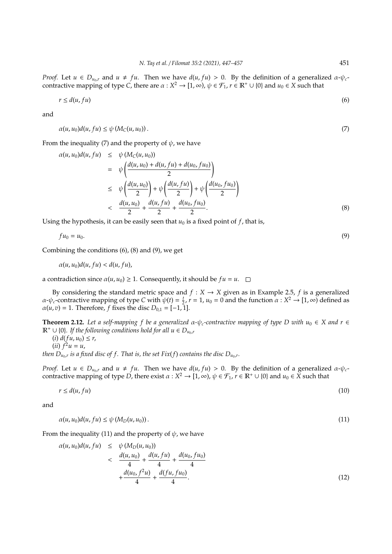*Proof.* Let  $u \in D_{u_0,r}$  and  $u \neq fu$ . Then we have  $d(u, fu) > 0$ . By the definition of a generalized  $\alpha$ - $\psi_c$ contractive mapping of type *C*, there are  $\alpha: X^2 \to [1,\infty)$ ,  $\psi \in \mathcal{F}_1$ ,  $r \in \mathbb{R}^+ \cup \{0\}$  and  $u_0 \in X$  such that

$$
r \le d(u, fu) \tag{6}
$$

and

$$
\alpha(u, u_0)d(u, fu) \le \psi(M_C(u, u_0)).
$$
\n<sup>(7)</sup>

From the inequality (7) and the property of  $\psi$ , we have

$$
\alpha(u, u_0)d(u, fu) \leq \psi(M_C(u, u_0))
$$
\n
$$
= \psi\left(\frac{d(u, u_0) + d(u, fu) + d(u_0, fu_0)}{2}\right)
$$
\n
$$
\leq \psi\left(\frac{d(u, u_0)}{2}\right) + \psi\left(\frac{d(u, fu)}{2}\right) + \psi\left(\frac{d(u, fu)}{2}\right)
$$
\n
$$
< \frac{d(u, u_0)}{2} + \frac{d(u, fu)}{2} + \frac{d(u, fu)}{2}.
$$
\n(8)

Using the hypothesis, it can be easily seen that  $u_0$  is a fixed point of  $f$ , that is,

$$
fu_0 = u_0.\tag{9}
$$

Combining the conditions (6), (8) and (9), we get

$$
\alpha(u,u_0)d(u,fu) < d(u,fu),
$$

a contradiction since  $\alpha(u, u_0) \geq 1$ . Consequently, it should be  $fu = u$ .  $\square$ 

By considering the standard metric space and  $f : X \rightarrow X$  given as in Example 2.5, *f* is a generalized  $\alpha$ - $\psi_c$ -contractive mapping of type *C* with  $\psi(t) = \frac{t}{2}$ ,  $r = 1$ ,  $u_0 = 0$  and the function  $\alpha : X^2 \to [1, \infty)$  defined as  $\alpha(u, v) = 1$ . Therefore, *f* fixes the disc  $D_{0,1} = [-1, 1]$ .

**Theorem 2.12.** Let a self-mapping f be a generalized  $\alpha$ - $\psi_c$ -contractive mapping of type D with  $u_0 \in X$  and  $r \in Y$  $\mathbb{R}^+ \cup \{0\}$ *. If the following conditions hold for all*  $u \in D_{u_0,r}$ 

 $(i)$   $d(fu, u_0) \leq r$ ,  $(iii) f^2 u = u,$ *then*  $D_{u_0,r}$  *is a fixed disc of f . That is, the set Fix(f) contains the disc*  $D_{u_0,r}.$ 

*Proof.* Let  $u \in D_{u_0,r}$  and  $u \neq fu$ . Then we have  $d(u, fu) > 0$ . By the definition of a generalized  $\alpha$ - $\psi_c$ contractive mapping of type  $D$ , there exist  $\alpha: X^2 \to [1,\infty)$ ,  $\psi \in \mathcal{F}_1$ ,  $r \in \mathbb{R}^+ \cup \{0\}$  and  $u_0 \in X$  such that

$$
r \le d(u, fu) \tag{10}
$$

and

$$
\alpha(u, u_0)d(u, fu) \le \psi\left(M_D(u, u_0)\right). \tag{11}
$$

From the inequality (11) and the property of  $\psi$ , we have

$$
\alpha(u, u_0)d(u, fu) \leq \psi(M_D(u, u_0))
$$
  

$$
< \frac{d(u, u_0)}{4} + \frac{d(u, fu)}{4} + \frac{d(u_0, fu_0)}{4}
$$
  

$$
+ \frac{d(u_0, f^2u)}{4} + \frac{d(fu, fu_0)}{4}.
$$
 (12)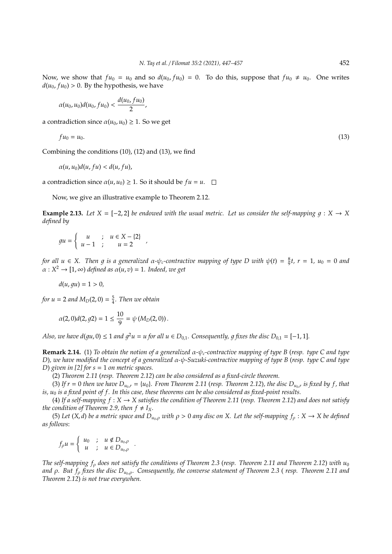Now, we show that  $fu_0 = u_0$  and so  $d(u_0, fu_0) = 0$ . To do this, suppose that  $fu_0 \neq u_0$ . One writes  $d(u_0, fu_0) > 0$ . By the hypothesis, we have

$$
\alpha(u_0, u_0)d(u_0, fu_0) < \frac{d(u_0, fu_0)}{2},
$$

a contradiction since  $\alpha(u_0, u_0) \geq 1$ . So we get

$$
fu_0 = u_0.\tag{13}
$$

Combining the conditions (10), (12) and (13), we find

$$
\alpha(u,u_0)d(u,fu)< d(u,fu),
$$

a contradiction since  $\alpha(u, u_0) \geq 1$ . So it should be  $fu = u$ .  $\Box$ 

Now, we give an illustrative example to Theorem 2.12.

**Example 2.13.** Let  $X = [-2, 2]$  be endowed with the usual metric. Let us consider the self-mapping  $q : X \to X$ *defined by*

$$
gu = \left\{ \begin{array}{rcl} u & ; & u \in X - \{2\} \\ u - 1 & ; & u = 2 \end{array} \right. ,
$$

*for all*  $u \in X$ . Then g is a generalized  $\alpha$ - $\psi_c$ -contractive mapping of type D with  $\psi(t) = \frac{8}{9}t$ ,  $r = 1$ ,  $u_0 = 0$  and  $\alpha: X^2 \to [1, \infty)$  *defined as*  $\alpha(u, v) = 1$ *. Indeed, we get* 

$$
d(u, gu) = 1 > 0,
$$

*for u* = 2 *and*  $M_D(2, 0) = \frac{5}{4}$ *. Then we obtain* 

$$
\alpha(2,0)d(2,g2)=1\leq \frac{10}{9}=\psi(M_D(2,0)).
$$

*Also, we have d*(gu, 0)  $\leq 1$  and  $g^2u = u$  for all  $u \in D_{0,1}$ . Consequently, g fixes the disc  $D_{0,1} = [-1,1]$ .

**Remark 2.14.** (1) *To obtain the notion of a generalized* α*-*ψ*c-contractive mapping of type B* (*resp. type C and type D*)*, we have modified the concept of a generalized* α*-*ψ*-Suzuki-contractive mapping of type B* (*resp. type C and type D*) *given in [2] for s* = 1 *on metric spaces.*

(2) *Theorem 2.11* (*resp. Theorem 2.12*) *can be also considered as a fixed-circle theorem.*

(3) If  $r = 0$  then we have  $D_{u_0,r} = \{u_0\}$ . From Theorem 2.11 (resp. Theorem 2.12), the disc  $D_{u_0,r}$  is fixed by f, that *is, u*<sub>0</sub> *is a fixed point of f. In this case, these theorems can be also considered as fixed-point results.* 

(4) If a self-mapping  $f: X \to X$  satisfies the condition of Theorem 2.11 (resp. Theorem 2.12) and does not satisfy *the condition of Theorem 2.9, then*  $f \neq I_X$ *.* 

(5) Let (*X*, *d*) be a metric space and  $D_{u_0,\rho}$  with  $\rho > 0$  any disc on *X*. Let the self-mapping  $f_\rho : X \to X$  be defined *as follows*:

$$
f_{\rho}u = \begin{cases} u_0 & ; u \notin D_{u_0,\rho} \\ u & ; u \in D_{u_0,\rho} \end{cases}.
$$

*The self-mapping f*<sup>ρ</sup> *does not satisfy the conditions of Theorem 2.3* (*resp. Theorem 2.11 and Theorem 2.12*) *with u*<sup>0</sup> *and* ρ. But  $f_0$  *fixes the disc*  $D_{u_0,0}$ *. Consequently, the converse statement of Theorem 2.3* (*resp. Theorem 2.11 and Theorem 2.12*) *is not true everywhen.*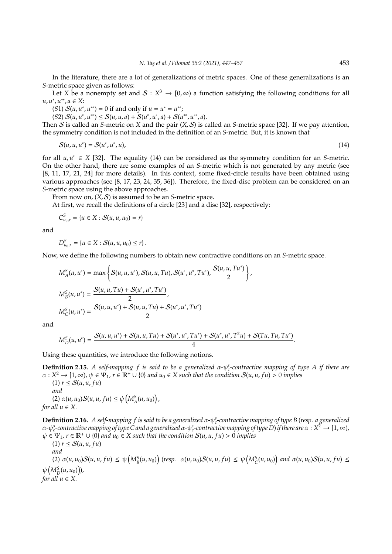In the literature, there are a lot of generalizations of metric spaces. One of these generalizations is an *S*-metric space given as follows:

Let *X* be a nonempty set and  $S: X^3 \to [0, \infty)$  a function satisfying the following conditions for all *u*, *u* ∗ , *u* ∗∗ , *a* ∈ *X*:

 $(S1) S(u, u^*, u^{**}) = 0$  if and only if  $u = u^* = u^{**}$ ;

 $(S2) S(u, u^*, u^{**}) \leq S(u, u, a) + S(u^*, u^*, a) + S(u^{**}, u^{**}, a).$ 

Then S is called an *S*-metric on *X* and the pair (*X*, S) is called an *S*-metric space [32]. If we pay attention, the symmetry condition is not included in the definition of an *S*-metric. But, it is known that

$$
S(u, u, u^*) = S(u^*, u^*, u), \tag{14}
$$

for all  $u, u^* \in X$  [32]. The equality (14) can be considered as the symmetry condition for an *S*-metric. On the other hand, there are some examples of an *S*-metric which is not generated by any metric (see [8, 11, 17, 21, 24] for more details). In this context, some fixed-circle results have been obtained using various approaches (see [8, 17, 23, 24, 35, 36]). Therefore, the fixed-disc problem can be considered on an *S*-metric space using the above approaches.

From now on, (*X*, S) is assumed to be an *S*-metric space.

At first, we recall the definitions of a circle [23] and a disc [32], respectively:

$$
C_{u_0,r}^S = \{u \in X : S(u,u,u_0) = r\}
$$

and

$$
D_{u_0,r}^S = \{u \in X : S(u,u,u_0) \le r\}.
$$

Now, we define the following numbers to obtain new contractive conditions on an *S*-metric space.

$$
M_A^S(u, u^*) = \max \left\{ S(u, u, u^*), S(u, u, Tu), S(u^*, u^*, Tu^*) , \frac{S(u, u, Tu^*)}{2} \right\},\,
$$
  

$$
M_B^S(u, u^*) = \frac{S(u, u, Tu) + S(u^*, u^*, Tu^*)}{2},\,
$$
  

$$
M_C^S(u, u^*) = \frac{S(u, u, u^*) + S(u, u, Tu) + S(u^*, u^*, Tu^*)}{2}
$$

and

$$
M_{D}^{S}(u, u^{*}) = \frac{S(u, u, u^{*}) + S(u, u, Tu) + S(u^{*}, u^{*}, Tu^{*}) + S(u^{*}, u^{*}, T^{2}u) + S(Tu, Tu, Tu^{*})}{4}.
$$

Using these quantities, we introduce the following notions.

**Definition 2.15.** *A self-mapping f is said to be a generalized* α*-*ψ *s c -contractive mapping of type A if there are*  $\alpha: X^2 \to [1, \infty)$ ,  $\psi \in \Psi_1$ ,  $r \in \mathbb{R}^+ \cup \{0\}$  and  $u_0 \in X$  such that the condition  $S(u, u, fu) > 0$  implies  $(1)$   $r \leq S(u, u, fu)$ 

*and*  $(2) \alpha(u, u_0) S(u, u, fu) \leq \psi\left(M_A^S(u, u_0)\right),$ *for all*  $u \in X$ *.* 

**Definition 2.16.** *A self-mapping f is said to be a generalized* α*-*ψ *s c -contractive mapping of type B* (*resp. a generalized*  $\alpha$ −ψ $^s$ -contractive mapping of type C and a generalized α-ψ $^s$ -contractive mapping of type D) if there are α : X<sup>2</sup> → [1, ∞),  $\psi \in \Psi_1$ ,  $r \in \mathbb{R}^+ \cup \{0\}$  and  $u_0 \in X$  such that the condition  $S(u, u, fu) > 0$  implies

 $(1)$   $r \leq S(u, u, fu)$ *and* (2)  $\alpha(u, u_0)S(u, u, fu) \leq \psi(M_B^S(u, u_0))$  (resp.  $\alpha(u, u_0)S(u, u, fu) \leq \psi(M_C^S(u, u_0))$  and  $\alpha(u, u_0)S(u, u, fu) \leq$  $\psi\left(M_D^S(u,u_0)\right)$ *for all*  $u \in X$ .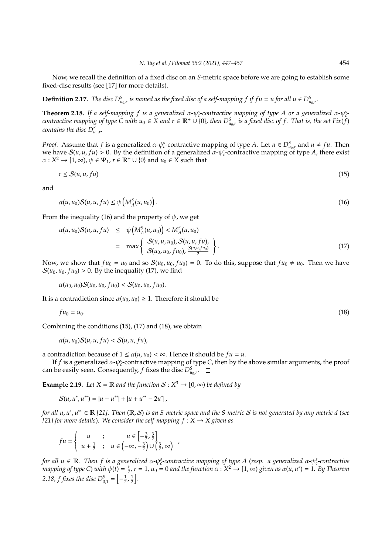Now, we recall the definition of a fixed disc on an *S*-metric space before we are going to establish some fixed-disc results (see [17] for more details).

**Definition 2.17.** *The disc*  $D^S_{u_0,r}$  *is named as the fixed disc of a self-mapping f if f u* = *u for all*  $u \in D^S_{u_0,r}$ .

**Theorem 2.18.** If a self-mapping f is a generalized  $\alpha$ - $\psi_c^s$ -contractive mapping of type A or a generalized  $\alpha$ - $\psi_c^s$ *contractive mapping of type*  $C$  *with*  $u_0 \in X$  and  $r \in \mathbb{R}^+ \cup \{0\}$ , then  $D^S_{u_0,r}$  is a fixed disc of f. That is, the set  $Fix(f)$ *contains the disc*  $D^S_{u_0,r}$ .

*Proof.* Assume that *f* is a generalized  $\alpha$ - $\psi_c^s$ -contractive mapping of type *A*. Let  $u \in D_{u_0,r}^S$  and  $u \neq fu$ . Then we have  $S(u, u, fu) > 0$ . By the definition of a generalized  $a - \psi_c^s$ -contractive mapping of type *A*, there exist  $\alpha: X^2 \to [1, \infty)$ ,  $\psi \in \Psi_1$ ,  $r \in \mathbb{R}^+ \cup \{0\}$  and  $u_0 \in X$  such that

$$
r \le S(u, u, fu) \tag{15}
$$

and

$$
\alpha(u, u_0) S(u, u, fu) \le \psi\left(M_A^S(u, u_0)\right). \tag{16}
$$

From the inequality (16) and the property of  $\psi$ , we get

$$
\alpha(u, u_0)S(u, u, fu) \leq \psi\left(M_A^S(u, u_0)\right) < M_A^S(u, u_0)
$$
  
= 
$$
\max\left\{\begin{array}{l}S(u, u, u_0), S(u, u, fu), \\S(u_0, u_0, fu_0), \frac{S(u, u, fu_0)}{2}\end{array}\right\}.
$$
 (17)

Now, we show that  $fu_0 = u_0$  and so  $S(u_0, u_0, fu_0) = 0$ . To do this, suppose that  $fu_0 \neq u_0$ . Then we have  $S(u_0, u_0, fu_0) > 0$ . By the inequality (17), we find

 $\alpha(u_0, u_0)S(u_0, u_0, fu_0) < S(u_0, u_0, fu_0).$ 

It is a contradiction since  $\alpha(u_0, u_0) \geq 1$ . Therefore it should be

$$
fu_0 = u_0.\tag{18}
$$

Combining the conditions (15), (17) and (18), we obtain

 $\alpha(u, u_0)S(u, u, fu) < S(u, u, fu)$ 

a contradiction because of  $1 \le \alpha(u, u_0) < \infty$ . Hence it should be  $fu = u$ .

If *f* is a generalized  $\alpha$ - $\psi_c^s$ -contractive mapping of type *C*, then by the above similar arguments, the proof can be easily seen. Consequently,  $f$  fixes the disc  $D^S_{u_0,r}$ .

**Example 2.19.** Let  $X = \mathbb{R}$  and the function  $S: X^3 \to [0, \infty)$  be defined by

 $S(u, u^*, u^{**}) = |u - u^{**}| + |u + u^{**} - 2u^{*}|$ 

*for all u*, *u* ∗ , *u* ∗∗ ∈ R *[21]. Then* (R, S) *is an S-metric space and the S-metric* S *is not generated by any metric d* (*see [21] for more details*). We consider the self-mapping  $f : X \rightarrow X$  given as

$$
fu = \begin{cases} u & ; & u \in \left[-\frac{3}{2}, \frac{3}{2}\right] \\ u + \frac{1}{2} & ; & u \in \left(-\infty, -\frac{3}{2}\right) \cup \left(\frac{3}{2}, \infty\right) \end{cases}
$$

*for all u* ∈ R. *Then f is a generalized α-ψε-contractive mapping of type A (resp. a generalized α-ψε-contractive*  $m$  *apping of type* C) *with*  $\psi(t) = \frac{t}{2}$ ,  $r = 1$ ,  $u_0 = 0$  and the function  $\alpha : X^2 \to [1, \infty)$  given as  $\alpha(u, u^*) = 1$ . By Theorem 2.18, *f* fixes the disc  $D_{0,1}^S = \left[-\frac{1}{2}, \frac{1}{2}\right]$ .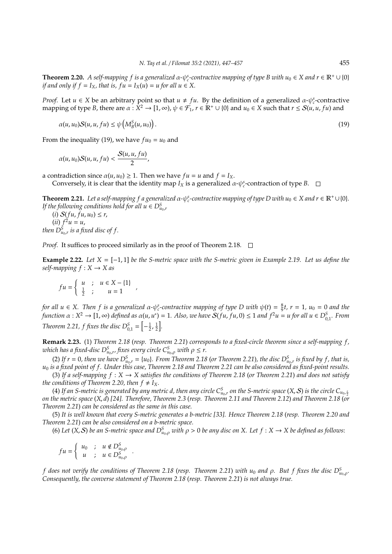**Theorem 2.20.** A self-mapping f is a generalized  $\alpha$ - $\psi_c^s$ -contractive mapping of type B with  $u_0 \in X$  and  $r \in \mathbb{R}^+ \cup \{0\}$ *if and only if f* =  $I_X$ *, that is, fu* =  $I_X(u)$  =  $u$  *for all*  $u \in X$ *.* 

*Proof.* Let  $u \in X$  be an arbitrary point so that  $u \neq fu$ . By the definition of a generalized  $\alpha$ - $\psi_c^s$ -contractive mapping of type *B*, there are  $\alpha : \hat{X}^2 \to [1, \infty)$ ,  $\psi \in \hat{\mathcal{F}}_1$ ,  $r \in \mathbb{R}^+ \cup \{0\}$  and  $u_0 \in X$  such that  $r \leq \mathcal{S}(u, u, fu)$  and

$$
\alpha(u, u_0) S(u, u, fu) \le \psi\left(M_B^S(u, u_0)\right). \tag{19}
$$

From the inequality (19), we have  $fu_0 = u_0$  and

$$
\alpha(u,u_0)S(u,u,fu)<\frac{S(u,u,fu)}{2},
$$

a contradiction since  $\alpha(u, u_0) \geq 1$ . Then we have  $fu = u$  and  $f = I_X$ . Conversely, it is clear that the identity map  $I_X$  is a generalized  $\alpha$ - $\psi_c^s$ -contraction of type *B*.

**Theorem 2.21.** Let a self-mapping f a generalized  $\alpha$ - $\psi_c$ -contractive mapping of type D with  $u_0 \in X$  and  $r \in \mathbb{R}^+ \cup \{0\}$ . *If the following conditions hold for all*  $u \in D^S_{u_0,r}$ 

 $(i) S(fu, fu, u_0) \leq r$ ,  $(iii) f^2 u = u,$ *then*  $D^S_{u_0,r}$  *is a fixed disc of f*.

*Proof.* It suffices to proceed similarly as in the proof of Theorem 2.18.  $\Box$ 

*,*

**Example 2.22.** *Let X* = [−1, 1] *be the S-metric space with the S-metric given in Example 2.19. Let us define the*  $self$ *-mapping*  $f: X \rightarrow X$  *as* 

$$
fu = \left\{ \begin{array}{rcl} u & ; & u \in X - \{1\} \\ \frac{1}{2} & ; & u = 1 \end{array} \right.
$$

*for all*  $u \in X$ . Then *f* is a generalized  $\alpha$ - $\psi_c^s$ -contractive mapping of type D with  $\psi(t) = \frac{8}{9}t$ ,  $r = 1$ ,  $u_0 = 0$  and the  $f$ *unction*  $\alpha: X^2 \to [1, \infty)$  *defined as*  $\alpha(u, u^*) = 1$ . Also, we have  $S(fu, fu, 0) \le 1$  and  $f^2u = u$  for all  $u \in D_{0,1}^S$ . From *Theorem 2.21, f fixes the disc*  $D_{0,1}^S = \left[ -\frac{1}{2}, \frac{1}{2} \right]$ .

**Remark 2.23.** (1) *Theorem 2.18* (*resp. Theorem 2.21*) *corresponds to a fixed-circle theorem since a self-mapping f , which has a fixed-disc*  $D^S_{u_0,r}$  *fixes every circle*  $C^S_{u_0,\rho}$  *with*  $\rho \leq r$ *.* 

(2) If  $r = 0$ , then we have  $D_{u_0,r}^S = \{u_0\}$ . From Theorem 2.18 (or Theorem 2.21), the disc  $D_{u_0,r}^S$  is fixed by f, that is, *u*<sup>0</sup> *is a fixed point of f . Under this case, Theorem 2.18 and Theorem 2.21 can be also considered as fixed-point results.*

(3) If a self-mapping  $f : X \to X$  satisfies the conditions of Theorem 2.18 (or Theorem 2.21) and does not satisfy *the conditions of Theorem 2.20, then*  $f \neq I_X$ *.* 

(4) If an S-metric is generated by any metric d, then any circle  $C^S_{u_0,r}$  on the S-metric space  $(X, S)$  is the circle  $C_{u_0,\frac{1}{2}}$ *on the metric space* (*X*, *d*) *[24]. Therefore, Theorem 2.3* (*resp. Theorem 2.11 and Theorem 2.12*) *and Theorem 2.18* (*or Theorem 2.21*) *can be considered as the same in this case.*

(5) *It is well known that every S-metric generates a b-metric [33]. Hence Theorem 2.18* (*resp. Theorem 2.20 and Theorem 2.21*) *can be also considered on a b-metric space.*

(6) Let (*X*, *S*) be an S-metric space and  $D^S_{u_0,\rho}$  with  $\rho > 0$  be any disc on X. Let  $f: X \to X$  be defined as follows:

*f u* =  $\left\{ \begin{array}{rcl} u_0 & ; & u \notin D^S_{u_0,\rho} \\ u & ; & u \in D^S_{u_0,\rho} \end{array} \right.$ *.*

*f does not verify the conditions of Theorem 2.18* (*resp. Theorem 2.21*) *with u*<sup>0</sup> *and* ρ*. But f fixes the disc D<sup>S</sup> <sup>u</sup>*0,ρ*. Consequently, the converse statement of Theorem 2.18* (*resp. Theorem 2.21*) *is not always true.*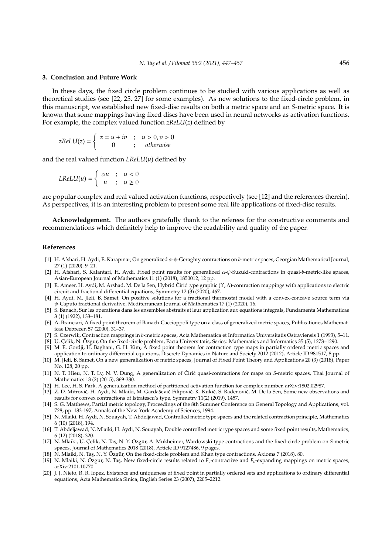#### **3. Conclusion and Future Work**

In these days, the fixed circle problem continues to be studied with various applications as well as theoretical studies (see [22, 25, 27] for some examples). As new solutions to the fixed-circle problem, in this manuscript, we established new fixed-disc results on both a metric space and an *S*-metric space. It is known that some mappings having fixed discs have been used in neural networks as activation functions. For example, the complex valued function *zReLU*(*z*) defined by

$$
zReLU(z) = \begin{cases} z = u + iv & ; u > 0, v > 0 \\ 0 & ; otherwise \end{cases}
$$

and the real valued function *LReLU*(*u*) defined by

$$
LReLU(u) = \begin{cases} \alpha u & ; & u < 0 \\ u & ; & u \ge 0 \end{cases}
$$

are popular complex and real valued activation functions, respectively (see [12] and the references therein). As perspectives, it is an interesting problem to present some real life applications of fixed-disc results.

**Acknowledgement.** The authors gratefully thank to the referees for the constructive comments and recommendations which definitely help to improve the readability and quality of the paper.

#### **References**

- [1] H. Afshari, H. Aydi, E. Karapınar, On generalized α-ψ-Geraghty contractions on *b*-metric spaces, Georgian Mathematical Journal, 27 (1) (2020), 9–21.
- [2] H. Afshari, S. Kalantari, H. Aydi, Fixed point results for generalized α-ψ-Suzuki-contractions in quasi-*b*-metric-like spaces, Asian-European Journal of Mathematics 11 (1) (2018), 1850012, 12 pp.
- [3] E. Ameer, H. Aydi, M. Arshad, M. De la Sen, Hybrid Ćirić type graphic (Υ, Λ)-contraction mappings with applications to electric circuit and fractional differential equations, Symmetry 12 (3) (2020), 467.
- [4] H. Aydi, M. Jleli, B. Samet, On positive solutions for a fractional thermostat model with a convex-concave source term via  $\psi$ -Caputo fractional derivative, Mediterranean Journal of Mathematics 17 (1) (2020), 16.
- [5] S. Banach, Sur les operations dans les ensembles abstraits et leur application aux equations integrals, Fundamenta Mathematicae 3 (1) (1922), 133–181.
- [6] A. Branciari, A fixed point theorem of Banach-Caccioppoli type on a class of generalized metric spaces, Publicationes Mathematicae Debrecen 57 (2000), 31–37.
- [7] S. Czerwik, Contraction mappings in *b*-metric spaces, Acta Mathematica et Informatica Universitatis Ostraviensis 1 (1993), 5–11.
- [8] U. Celik, N. Özgür, On the fixed-circle problem, Facta Universitatis, Series: Mathematics and Informatics 35 (5), 1273–1290. [9] M. E. Gordji, H. Baghani, G. H. Kim, A fixed point theorem for contraction type maps in partially ordered metric spaces and
- application to ordinary differential equations, Discrete Dynamics in Nature and Society 2012 (2012), Article ID 981517, 8 pp. [10] M. Jleli, B. Samet, On a new generalization of metric spaces, Journal of Fixed Point Theory and Applications 20 (3) (2018), Paper No. 128, 20 pp.
- [11] N. T. Hieu, N. T. Ly, N. V. Dung, A generalization of Ciric quasi-contractions for maps on S-metric spaces, Thai Journal of Mathematics 13 (2) (2015), 369-380.
- [12] H. Lee, H. S. Park, A generalization method of partitioned activation function for complex number, arXiv:1802.02987.
- [13] Z. D. Mitrović, H. Aydi, N. Mlaiki, M. Gardašević-Filipović, K. Kukić, S. Radenović, M. De la Sen, Some new observations and results for convex contractions of Istratescu's type, Symmetry 11(2) (2019), 1457.
- [14] S. G. Matthews, Partial metric topology, Proceedings of the 8th Summer Conference on General Topology and Applications, vol. 728, pp. 183-197, Annals of the New York Academy of Sciences, 1994.
- [15] N. Mlaiki, H. Aydi, N. Souayah, T. Abdeljawad, Controlled metric type spaces and the related contraction principle, Mathematics 6 (10) (2018), 194.
- [16] T. Abdeljawad, N. Mlaiki, H. Aydi, N. Souayah, Double controlled metric type spaces and some fixed point results, Mathematics, 6 (12) (2018), 320.
- [17] N. Mlaiki, U. Çelik, N. Taş, N. Y. Özgür, A. Mukheimer, Wardowski type contractions and the fixed-circle problem on S-metric spaces, Journal of Mathematics 2018 (2018), Article ID 9127486, 9 pages.
- [18] N. Mlaiki, N. Tas, N. Y. Özgür, On the fixed-circle problem and Khan type contractions, Axioms 7 (2018), 80.
- [19] N. Mlaiki, N. Özgür, N. Taş, New fixed-circle results related to  $F_c$ -contractive and  $F_c$ -expanding mappings on metric spaces, arXiv:2101.10770.
- [20] J. J. Nieto, R. R. lopez, Existence and uniqueness of fixed point in partially ordered sets and applications to ordinary differential equations, Acta Mathematica Sinica, English Series 23 (2007), 2205–2212.